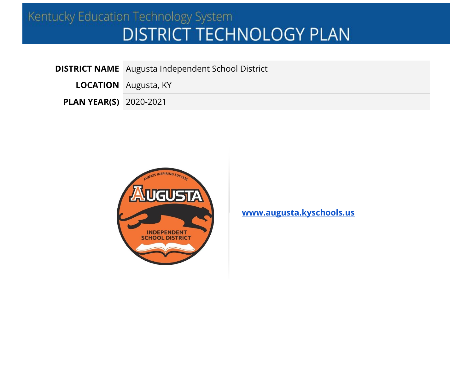# Kentucky Education Technology System **DISTRICT TECHNOLOGY PLAN**

**DISTRICT NAME** Augusta Independent School District

**LOCATION** Augusta, KY

**PLAN YEAR(S)** 2020-2021



**[www.augusta.kyschools.us](http://www.augusta.kyschools.us/)**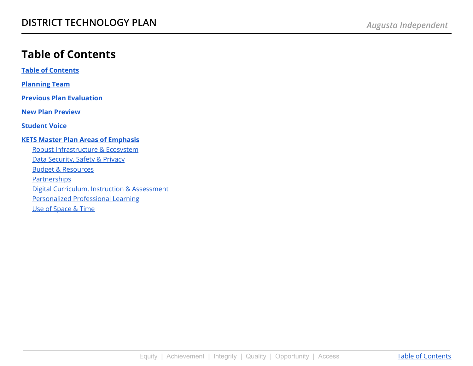### <span id="page-1-0"></span>**Table of Contents**

**Table of [Contents](#page-1-0)**

**[Planning](#page-2-0) Team**

**Previous Plan [Evaluation](#page-3-0)**

**New Plan [Preview](#page-5-0)**

**[Student](#page-6-0) Voice**

#### **KETS Master Plan Areas of [Emphasis](#page-7-0)**

Robust [Infrastructure](#page-8-0) & Ecosystem Data [Security,](#page-10-0) Safety & Privacy Budget & [Resources](#page-12-0) **[Partnerships](#page-14-0)** Digital Curriculum, Instruction & [Assessment](#page-16-0) [Personalized](#page-19-0) Professional Learning Use of [Space](#page-21-0) & Time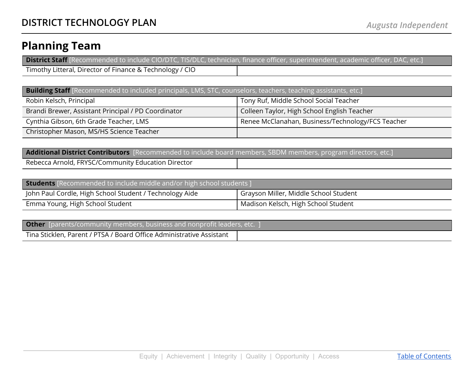### <span id="page-2-0"></span>**Planning Team**

| District Staff [Recommended to include CIO/DTC, TIS/DLC, technician, finance officer, superintendent, academic officer, DAC, etc.] |  |
|------------------------------------------------------------------------------------------------------------------------------------|--|
| Timothy Litteral, Director of Finance & Technology / CIO                                                                           |  |

| <b>Building Staff</b> [Recommended to included principals, LMS, STC, counselors, teachers, teaching assistants, etc.] |                                                   |  |  |  |  |
|-----------------------------------------------------------------------------------------------------------------------|---------------------------------------------------|--|--|--|--|
| Robin Kelsch, Principal                                                                                               | Tony Ruf, Middle School Social Teacher            |  |  |  |  |
| Brandi Brewer, Assistant Principal / PD Coordinator                                                                   | Colleen Taylor, High School English Teacher       |  |  |  |  |
| Cynthia Gibson, 6th Grade Teacher, LMS                                                                                | Renee McClanahan, Business/Technology/FCS Teacher |  |  |  |  |
| Christopher Mason, MS/HS Science Teacher                                                                              |                                                   |  |  |  |  |

### **Additional District Contributors** [Recommended to include board members, SBDM members, program directors, etc.]

Rebecca Arnold, FRYSC/Community Education Director

| <b>Students</b> [Recommended to include middle and/or high school students ]                     |                                     |  |  |  |
|--------------------------------------------------------------------------------------------------|-------------------------------------|--|--|--|
| John Paul Cordle, High School Student / Technology Aide<br>Grayson Miller, Middle School Student |                                     |  |  |  |
| Emma Young, High School Student                                                                  | Madison Kelsch, High School Student |  |  |  |

| <b>Other</b> [parents/community members, business and nonprofit leaders, etc. ] |  |  |  |  |
|---------------------------------------------------------------------------------|--|--|--|--|
| Tina Sticklen, Parent / PTSA / Board Office Administrative Assistant            |  |  |  |  |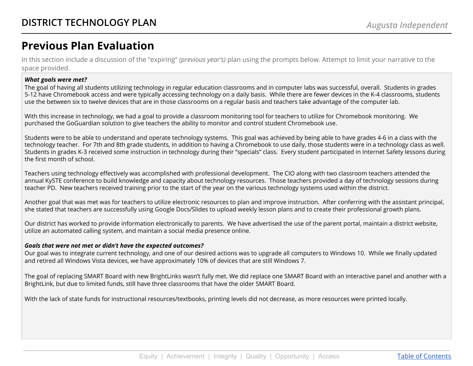### <span id="page-3-0"></span>**Previous Plan Evaluation**

In this section include a discussion of the "expiring" *(previous year's)* plan using the prompts below. Attempt to limit your narrative to the space provided.

#### *What goals were met?*

The goal of having all students utilizing technology in regular education classrooms and in computer labs was successful, overall. Students in grades 5-12 have Chromebook access and were typically accessing technology on a daily basis. While there are fewer devices in the K-4 classrooms, students use the between six to twelve devices that are in those classrooms on a regular basis and teachers take advantage of the computer lab.

With this increase in technology, we had a goal to provide a classroom monitoring tool for teachers to utilize for Chromebook monitoring. We purchased the GoGuardian solution to give teachers the ability to monitor and control student Chromebook use.

Students were to be able to understand and operate technology systems. This goal was achieved by being able to have grades 4-6 in a class with the technology teacher. For 7th and 8th grade students, in addition to having a Chromebook to use daily, those students were in a technology class as well. Students in grades K-3 received some instruction in technology during their "specials" class. Every student participated in Internet Safety lessons during the first month of school.

Teachers using technology effectively was accomplished with professional development. The CIO along with two classroom teachers attended the annual KySTE conference to build knowledge and capacity about technology resources. Those teachers provided a day of technology sessions during teacher PD. New teachers received training prior to the start of the year on the various technology systems used within the district.

Another goal that was met was for teachers to utilize electronic resources to plan and improve instruction. After conferring with the assistant principal, she stated that teachers are successfully using Google Docs/Slides to upload weekly lesson plans and to create their professional growth plans.

Our district has worked to provide information electronically to parents. We have advertised the use of the parent portal, maintain a district website, utilize an automated calling system, and maintain a social media presence online.

#### *Goals that were not met or didn't have the expected outcomes?*

Our goal was to integrate current technology, and one of our desired actions was to upgrade all computers to Windows 10. While we finally updated and retired all Windows Vista devices, we have approximately 10% of devices that are still Windows 7.

The goal of replacing SMART Board with new BrightLinks wasn't fully met. We did replace one SMART Board with an interactive panel and another with a BrightLink, but due to limited funds, still have three classrooms that have the older SMART Board.

With the lack of state funds for instructional resources/textbooks, printing levels did not decrease, as more resources were printed locally.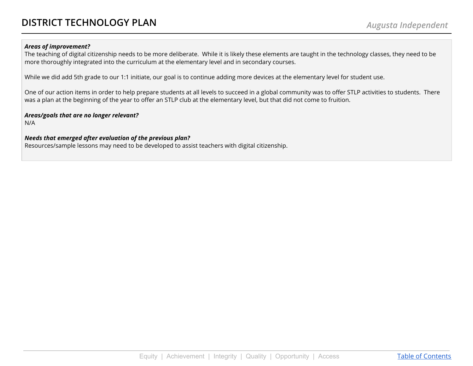#### *Areas of improvement?*

The teaching of digital citizenship needs to be more deliberate. While it is likely these elements are taught in the technology classes, they need to be more thoroughly integrated into the curriculum at the elementary level and in secondary courses.

While we did add 5th grade to our 1:1 initiate, our goal is to continue adding more devices at the elementary level for student use.

One of our action items in order to help prepare students at all levels to succeed in a global community was to offer STLP activities to students. There was a plan at the beginning of the year to offer an STLP club at the elementary level, but that did not come to fruition.

#### *Areas/goals that are no longer relevant?*

N/A

#### *Needs that emerged after evaluation of the previous plan?*

Resources/sample lessons may need to be developed to assist teachers with digital citizenship.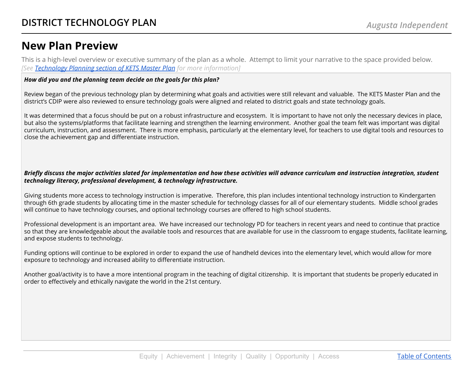### <span id="page-5-0"></span>**New Plan Preview**

This is a high-level overview or executive summary of the plan as a whole. Attempt to limit your narrative to the space provided below. *[See [Technology](https://education.ky.gov/districts/tech/Pages/KETS-2018---2024-Master-Plan---Technology-Planning.aspx) Planning section of KETS Master Plan for more information]*

#### *How did you and the planning team decide on the goals for this plan?*

Review began of the previous technology plan by determining what goals and activities were still relevant and valuable. The KETS Master Plan and the district's CDIP were also reviewed to ensure technology goals were aligned and related to district goals and state technology goals.

It was determined that a focus should be put on a robust infrastructure and ecosystem. It is important to have not only the necessary devices in place, but also the systems/platforms that facilitate learning and strengthen the learning environment. Another goal the team felt was important was digital curriculum, instruction, and assessment. There is more emphasis, particularly at the elementary level, for teachers to use digital tools and resources to close the achievement gap and differentiate instruction.

#### Briefly discuss the major activities slated for implementation and how these activities will advance curriculum and instruction integration, student *technology literacy, professional development, & technology infrastructure.*

Giving students more access to technology instruction is imperative. Therefore, this plan includes intentional technology instruction to Kindergarten through 6th grade students by allocating time in the master schedule for technology classes for all of our elementary students. Middle school grades will continue to have technology courses, and optional technology courses are offered to high school students.

Professional development is an important area. We have increased our technology PD for teachers in recent years and need to continue that practice so that they are knowledgeable about the available tools and resources that are available for use in the classroom to engage students, facilitate learning, and expose students to technology.

Funding options will continue to be explored in order to expand the use of handheld devices into the elementary level, which would allow for more exposure to technology and increased ability to differentiate instruction.

Another goal/activity is to have a more intentional program in the teaching of digital citizenship. It is important that students be properly educated in order to effectively and ethically navigate the world in the 21st century.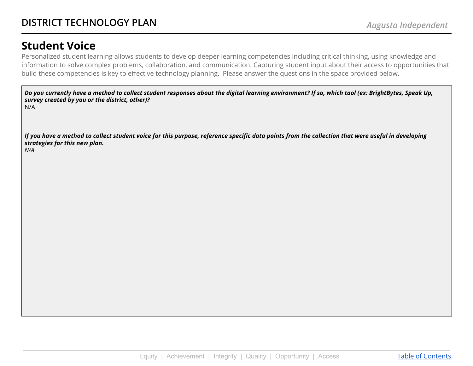### <span id="page-6-0"></span>**Student Voice**

Personalized student learning allows students to develop deeper learning competencies including critical thinking, using knowledge and information to solve complex problems, collaboration, and communication. Capturing student input about their access to opportunities that build these competencies is key to effective technology planning. Please answer the questions in the space provided below.

Do you currently have a method to collect student responses about the digital learning environment? If so, which tool (ex: BrightBytes, Speak Up, *survey created by you or the district, other)?* N/A

If you have a method to collect student voice for this purpose, reference specific data points from the collection that were useful in developing *strategies for this new plan. N/A*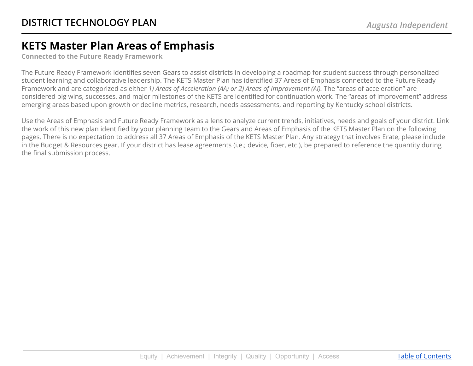#### <span id="page-7-0"></span>**KETS Master Plan Areas of Emphasis**

**Connected to the Future Ready Framework**

The Future Ready Framework identifies seven Gears to assist districts in developing a roadmap for student success through personalized student learning and collaborative leadership. The KETS Master Plan has identified 37 Areas of Emphasis connected to the Future Ready Framework and are categorized as either *1) Areas of Acceleration (AA) or 2) Areas of Improvement (AI).* The "areas of acceleration" are considered big wins, successes, and major milestones of the KETS are identified for continuation work. The "areas of improvement" address emerging areas based upon growth or decline metrics, research, needs assessments, and reporting by Kentucky school districts.

Use the Areas of Emphasis and Future Ready Framework as a lens to analyze current trends, initiatives, needs and goals of your district. Link the work of this new plan identified by your planning team to the Gears and Areas of Emphasis of the KETS Master Plan on the following pages. There is no expectation to address all 37 Areas of Emphasis of the KETS Master Plan. Any strategy that involves Erate, please include in the Budget & Resources gear. If your district has lease agreements (i.e.; device, fiber, etc.), be prepared to reference the quantity during the final submission process.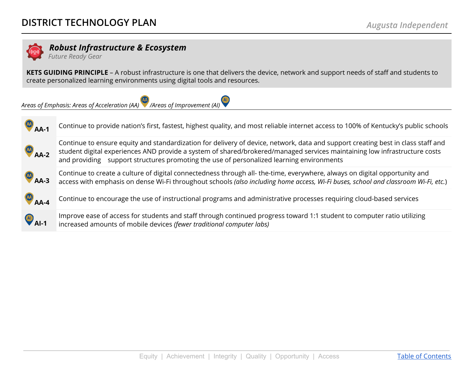

<span id="page-8-0"></span>*Robust Infrastructure & Ecosystem*

*Future Ready Gear*

**KETS GUIDING PRINCIPLE** – A robust infrastructure is one that delivers the device, network and support needs of staff and students to create personalized learning environments using digital tools and resources.



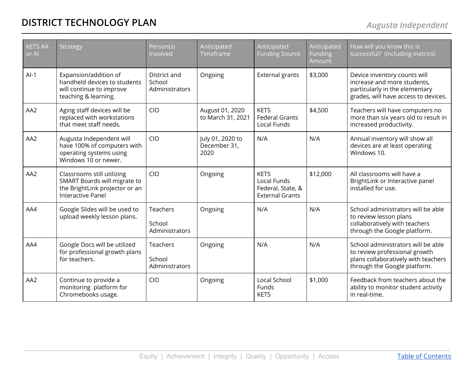| <b>KETS AA</b><br>or Al | Strategy                                                                                                                 | Person(s)<br>Involved                    | Anticipated<br>Timeframe                 | Anticipated<br><b>Funding Source</b>                                      | Anticipated<br>Funding<br>Amount | How will you know this is<br>successful? (including metrics)                                                                               |
|-------------------------|--------------------------------------------------------------------------------------------------------------------------|------------------------------------------|------------------------------------------|---------------------------------------------------------------------------|----------------------------------|--------------------------------------------------------------------------------------------------------------------------------------------|
| $Al-1$                  | Expansion/addition of<br>handheld devices to students<br>will continue to improve<br>teaching & learning.                | District and<br>School<br>Administrators | Ongoing                                  | External grants                                                           | \$3,000                          | Device inventory counts will<br>increase and more students,<br>particularly in the elementary<br>grades, will have access to devices.      |
| AA <sub>2</sub>         | Aging staff devices will be<br>replaced with workstations<br>that meet staff needs.                                      | <b>CIO</b>                               | August 01, 2020<br>to March 31, 2021     | <b>KETS</b><br><b>Federal Grants</b><br>Local Funds                       | \$4,500                          | Teachers will have computers no<br>more than six years old to result in<br>increased productivity.                                         |
| AA2                     | Augusta Independent will<br>have 100% of computers with<br>operating systems using<br>Windows 10 or newer.               | <b>CIO</b>                               | July 01, 2020 to<br>December 31,<br>2020 | N/A                                                                       | N/A                              | Annual inventory will show all<br>devices are at least operating<br>Windows 10.                                                            |
| AA2                     | Classrooms still utilizing<br>SMART Boards will migrate to<br>the BrightLink projector or an<br><b>Interactive Panel</b> | <b>CIO</b>                               | Ongoing                                  | <b>KETS</b><br>Local Funds<br>Federal, State, &<br><b>External Grants</b> | \$12,000                         | All classrooms will have a<br>BrightLink or Interactive panel<br>installed for use.                                                        |
| AA4                     | Google Slides will be used to<br>upload weekly lesson plans.                                                             | Teachers<br>School<br>Administrators     | Ongoing                                  | N/A                                                                       | N/A                              | School administrators will be able<br>to review lesson plans<br>collaboratively with teachers<br>through the Google platform.              |
| AA4                     | Google Docs will be utilized<br>for professional growth plans<br>for teachers.                                           | Teachers<br>School<br>Administrators     | Ongoing                                  | N/A                                                                       | N/A                              | School administrators will be able<br>to review professional growth<br>plans collaboratively with teachers<br>through the Google platform. |
| AA2                     | Continue to provide a<br>monitoring platform for<br>Chromebooks usage.                                                   | <b>CIO</b>                               | Ongoing                                  | Local School<br>Funds<br><b>KETS</b>                                      | \$1,000                          | Feedback from teachers about the<br>ability to monitor student activity<br>in real-time.                                                   |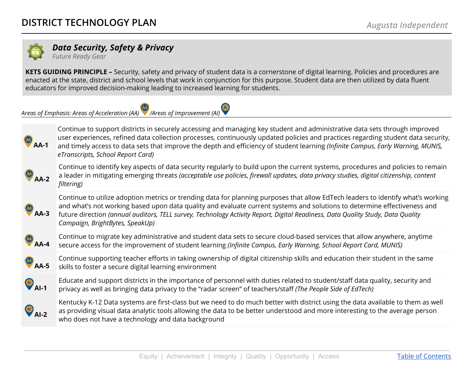

<span id="page-10-0"></span>*Data Security, Safety & Privacy Future Ready Gear*

**KETS GUIDING PRINCIPLE –** Security, safety and privacy of student data is a cornerstone of digital learning. Policies and procedures are enacted at the state, district and school levels that work in conjunction for this purpose. Student data are then utilized by data fluent educators for improved decision-making leading to increased learning for students.

*Areas of Emphasis: Areas of Acceleration (AA) /Areas of Improvement (AI)*



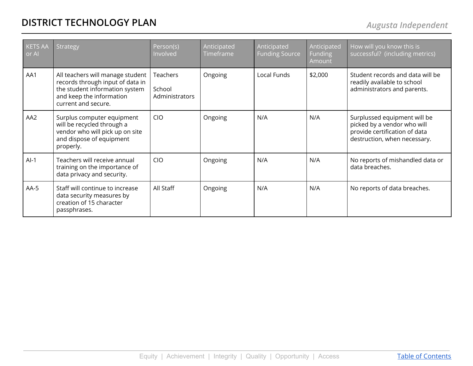| <b>KETS AA</b><br>or Al | Strategy                                                                                                                                                  | Person(s)<br>Involved                       | Anticipated<br>Timeframe | Anticipated<br><b>Funding Source</b> | Anticipated<br>Funding<br>Amount | How will you know this is<br>successful? (including metrics)                                                                 |
|-------------------------|-----------------------------------------------------------------------------------------------------------------------------------------------------------|---------------------------------------------|--------------------------|--------------------------------------|----------------------------------|------------------------------------------------------------------------------------------------------------------------------|
| AA1                     | All teachers will manage student<br>records through input of data in<br>the student information system<br>and keep the information<br>current and secure. | <b>Teachers</b><br>School<br>Administrators | Ongoing                  | Local Funds                          | \$2,000                          | Student records and data will be<br>readily available to school<br>administrators and parents.                               |
| AA <sub>2</sub>         | Surplus computer equipment<br>will be recycled through a<br>vendor who will pick up on site<br>and dispose of equipment<br>properly.                      | <b>CIO</b>                                  | Ongoing                  | N/A                                  | N/A                              | Surplussed equipment will be<br>picked by a vendor who will<br>provide certification of data<br>destruction, when necessary. |
| $AI-1$                  | Teachers will receive annual<br>training on the importance of<br>data privacy and security.                                                               | <b>CIO</b>                                  | Ongoing                  | N/A                                  | N/A                              | No reports of mishandled data or<br>data breaches.                                                                           |
| $AA-5$                  | Staff will continue to increase<br>data security measures by<br>creation of 15 character<br>passphrases.                                                  | All Staff                                   | Ongoing                  | N/A                                  | N/A                              | No reports of data breaches.                                                                                                 |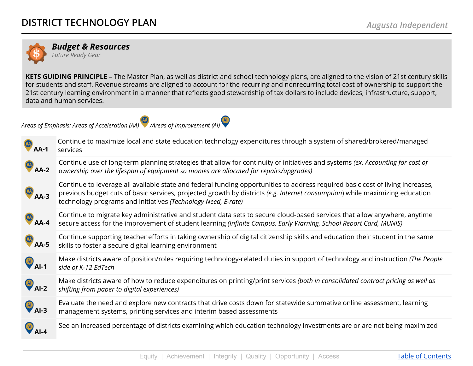

<span id="page-12-0"></span>*Budget & Resources Future Ready Gear*

**KETS GUIDING PRINCIPLE –** The Master Plan, as well as district and school technology plans, are aligned to the vision of 21st century skills for students and staff. Revenue streams are aligned to account for the recurring and nonrecurring total cost of ownership to support the 21st century learning environment in a manner that reflects good stewardship of tax dollars to include devices, infrastructure, support, data and human services.

*Areas of Emphasis: Areas of Acceleration (AA) /Areas of Improvement (AI)*



| $\bigcirc$ AA-1      | Continue to maximize local and state education technology expenditures through a system of shared/brokered/managed<br>services                                                                                                                                                                                                  |
|----------------------|---------------------------------------------------------------------------------------------------------------------------------------------------------------------------------------------------------------------------------------------------------------------------------------------------------------------------------|
| $\bigcirc$ AA-2      | Continue use of long-term planning strategies that allow for continuity of initiatives and systems (ex. Accounting for cost of<br>ownership over the lifespan of equipment so monies are allocated for repairs/upgrades)                                                                                                        |
| <b>D</b><br>AA-3     | Continue to leverage all available state and federal funding opportunities to address required basic cost of living increases,<br>previous budget cuts of basic services, projected growth by districts (e.g. Internet consumption) while maximizing education<br>technology programs and initiatives (Technology Need, E-rate) |
| $\bigcirc$ AA-4      | Continue to migrate key administrative and student data sets to secure cloud-based services that allow anywhere, anytime<br>secure access for the improvement of student learning (Infinite Campus, Early Warning, School Report Card, MUNIS)                                                                                   |
| <b>D</b><br>AA-5     | Continue supporting teacher efforts in taking ownership of digital citizenship skills and education their student in the same<br>skills to foster a secure digital learning environment                                                                                                                                         |
| $AD$ <sub>Al-1</sub> | Make districts aware of position/roles requiring technology-related duties in support of technology and instruction (The People<br>side of K-12 EdTech                                                                                                                                                                          |
| $AD$ Al-2            | Make districts aware of how to reduce expenditures on printing/print services (both in consolidated contract pricing as well as<br>shifting from paper to digital experiences)                                                                                                                                                  |
| $AD$ $AI-3$          | Evaluate the need and explore new contracts that drive costs down for statewide summative online assessment, learning<br>management systems, printing services and interim based assessments                                                                                                                                    |
| AI AI-4              | See an increased percentage of districts examining which education technology investments are or are not being maximized                                                                                                                                                                                                        |
|                      |                                                                                                                                                                                                                                                                                                                                 |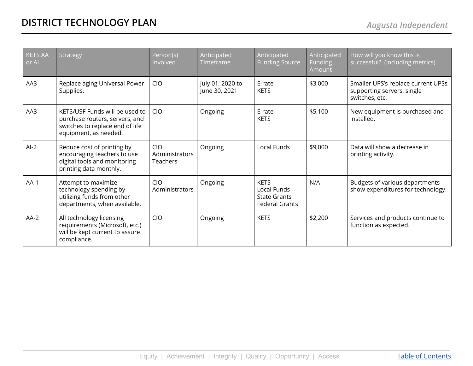| <b>KETS AA</b><br>or Al | Strategy                                                                                                                     | Person(s)<br>Involved                                  | Anticipated<br>Timeframe          | Anticipated<br><b>Funding Source</b>                                       | Anticipated<br><b>Funding</b><br>Amount | How will you know this is<br>successful? (including metrics)                       |
|-------------------------|------------------------------------------------------------------------------------------------------------------------------|--------------------------------------------------------|-----------------------------------|----------------------------------------------------------------------------|-----------------------------------------|------------------------------------------------------------------------------------|
| AA3                     | Replace aging Universal Power<br>Supplies.                                                                                   | <b>CIO</b>                                             | July 01, 2020 to<br>June 30, 2021 | E-rate<br><b>KETS</b>                                                      | \$3,000                                 | Smaller UPS's replace current UPSs<br>supporting servers, single<br>switches, etc. |
| AA3                     | KETS/USF Funds will be used to<br>purchase routers, servers, and<br>switches to replace end of life<br>equipment, as needed. | <b>CIO</b>                                             | Ongoing                           | E-rate<br><b>KETS</b>                                                      | \$5,100                                 | New equipment is purchased and<br>installed.                                       |
| $AI-2$                  | Reduce cost of printing by<br>encouraging teachers to use<br>digital tools and monitoring<br>printing data monthly.          | <b>CIO</b><br><b>Administrators</b><br><b>Teachers</b> | Ongoing                           | Local Funds                                                                | \$9,000                                 | Data will show a decrease in<br>printing activity.                                 |
| $AA-1$                  | Attempt to maximize<br>technology spending by<br>utilizing funds from other<br>departments, when available.                  | <b>CIO</b><br>Administrators                           | Ongoing                           | <b>KETS</b><br>Local Funds<br><b>State Grants</b><br><b>Federal Grants</b> | N/A                                     | Budgets of various departments<br>show expenditures for technology.                |
| $AA-2$                  | All technology licensing<br>requirements (Microsoft, etc.)<br>will be kept current to assure<br>compliance.                  | <b>CIO</b>                                             | Ongoing                           | <b>KETS</b>                                                                | \$2,200                                 | Services and products continue to<br>function as expected.                         |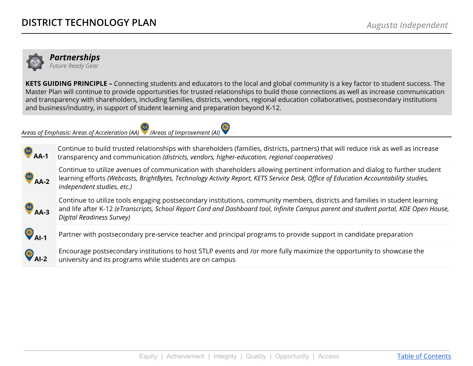

#### <span id="page-14-0"></span>*Partnerships Future Ready Gear*

**KETS GUIDING PRINCIPLE –** Connecting students and educators to the local and global community is a key factor to student success. The Master Plan will continue to provide opportunities for trusted relationships to build those connections as well as increase communication and transparency with shareholders, including families, districts, vendors, regional education collaboratives, postsecondary institutions and business/industry, in support of student learning and preparation beyond K-12.

*Areas of Emphasis: Areas of Acceleration (AA) /Areas of Improvement (AI)*



| <b>M</b>            | Continue to build trusted relationships with shareholders (families, districts, partners) that will reduce risk as well as increase                                                                                                                                                                                       |
|---------------------|---------------------------------------------------------------------------------------------------------------------------------------------------------------------------------------------------------------------------------------------------------------------------------------------------------------------------|
| <b>AA-1</b>         | transparency and communication (districts, vendors, higher-education, regional cooperatives)                                                                                                                                                                                                                              |
| <b>AA</b><br>$AA-2$ | Continue to utilize avenues of communication with shareholders allowing pertinent information and dialog to further student<br>learning efforts (Webcasts, BrightBytes, Technology Activity Report, KETS Service Desk, Office of Education Accountability studies,<br>$\overline{\phantom{a}}$ independent studies, etc.) |

**AA-3** Continue to utilize tools engaging postsecondary institutions, community members, districts and families in student learning and life after K-12 (eTranscripts, School Report Card and Dashboard tool, Infinite Campus parent and student portal, KDE Open House, *Digital Readiness Survey)*

**AI**<br>**AI-1** Partner with postsecondary pre-service teacher and principal programs to provide support in candidate preparation

**AI-2** Encourage postsecondary institutions to host STLP events and /or more fully maximize the opportunity to showcase the university and its programs while students are on campus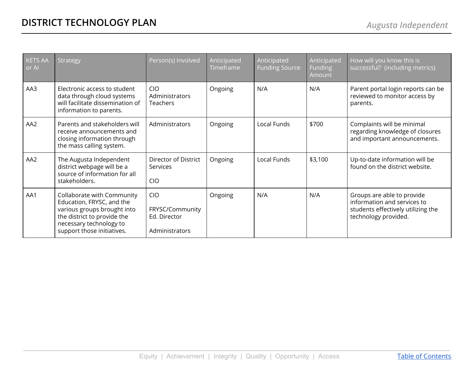| <b>KETS AA</b><br>or Al | Strategy                                                                                                                                                                       | Person(s) Involved                                              | Anticipated<br>Timeframe | Anticipated<br><b>Funding Source</b> | Anticipated<br>Funding<br>Amount | How will you know this is<br>successful? (including metrics)                                                            |
|-------------------------|--------------------------------------------------------------------------------------------------------------------------------------------------------------------------------|-----------------------------------------------------------------|--------------------------|--------------------------------------|----------------------------------|-------------------------------------------------------------------------------------------------------------------------|
| AA3                     | Electronic access to student<br>data through cloud systems<br>will facilitate dissemination of<br>information to parents.                                                      | <b>CIO</b><br>Administrators<br><b>Teachers</b>                 | Ongoing                  | N/A                                  | N/A                              | Parent portal login reports can be<br>reviewed to monitor access by<br>parents.                                         |
| AA <sub>2</sub>         | Parents and stakeholders will<br>receive announcements and<br>closing information through<br>the mass calling system.                                                          | Administrators                                                  | Ongoing                  | Local Funds                          | \$700                            | Complaints will be minimal<br>regarding knowledge of closures<br>and important announcements.                           |
| AA <sub>2</sub>         | The Augusta Independent<br>district webpage will be a<br>source of information for all<br>stakeholders.                                                                        | Director of District<br>Services<br><b>CIO</b>                  | Ongoing                  | Local Funds                          | \$3,100                          | Up-to-date information will be<br>found on the district website.                                                        |
| AA1                     | Collaborate with Community<br>Education, FRYSC, and the<br>various groups brought into<br>the district to provide the<br>necessary technology to<br>support those initiatives. | <b>CIO</b><br>FRYSC/Community<br>Ed. Director<br>Administrators | Ongoing                  | N/A                                  | N/A                              | Groups are able to provide<br>information and services to<br>students effectively utilizing the<br>technology provided. |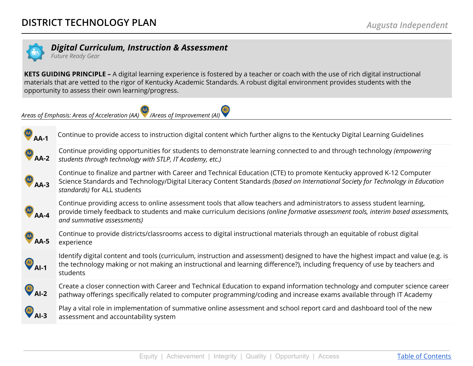

 $\mathbf{r}$ 

#### <span id="page-16-0"></span>*Digital Curriculum, Instruction & Assessment*

*Future Ready Gear*

**KETS GUIDING PRINCIPLE –** A digital learning experience is fostered by a teacher or coach with the use of rich digital instructional materials that are vetted to the rigor of Kentucky Academic Standards. A robust digital environment provides students with the opportunity to assess their own learning/progress.

*Areas of Emphasis: Areas of Acceleration (AA) /Areas of Improvement (AI)*



| <b>MA</b><br>AA-1    | Continue to provide access to instruction digital content which further aligns to the Kentucky Digital Learning Guidelines                                                                                                                                                                |
|----------------------|-------------------------------------------------------------------------------------------------------------------------------------------------------------------------------------------------------------------------------------------------------------------------------------------|
| $\bigcirc$ AA-2      | Continue providing opportunities for students to demonstrate learning connected to and through technology (empowering<br>students through technology with STLP, IT Academy, etc.)                                                                                                         |
| <b>CO</b><br>AA-3    | Continue to finalize and partner with Career and Technical Education (CTE) to promote Kentucky approved K-12 Computer<br>Science Standards and Technology/Digital Literacy Content Standards (based on International Society for Technology in Education<br>standards) for ALL students   |
| <b>CO</b><br>AA-4    | Continue providing access to online assessment tools that allow teachers and administrators to assess student learning,<br>provide timely feedback to students and make curriculum decisions (online formative assessment tools, interim based assessments,<br>and summative assessments) |
| <b>MAA-5</b>         | Continue to provide districts/classrooms access to digital instructional materials through an equitable of robust digital<br>experience                                                                                                                                                   |
| $AD$ <sub>Al-1</sub> | Identify digital content and tools (curriculum, instruction and assessment) designed to have the highest impact and value (e.g. is<br>the technology making or not making an instructional and learning difference?), including frequency of use by teachers and<br>students              |
| AID AI-2             | Create a closer connection with Career and Technical Education to expand information technology and computer science career<br>pathway offerings specifically related to computer programming/coding and increase exams available through IT Academy                                      |
| AI AI-3              | Play a vital role in implementation of summative online assessment and school report card and dashboard tool of the new<br>assessment and accountability system                                                                                                                           |
|                      |                                                                                                                                                                                                                                                                                           |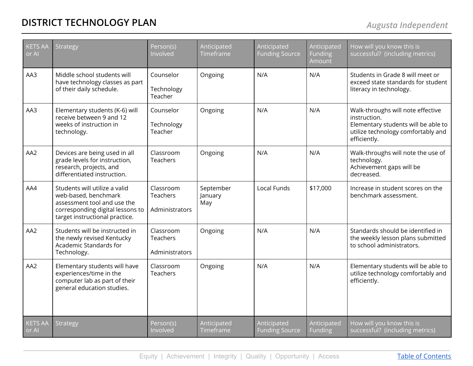| <b>KETS AA</b><br>or Al | Strategy                                                                                                                                                   | Person(s)<br>Involved                          | Anticipated<br>Timeframe    | Anticipated<br><b>Funding Source</b> | Anticipated<br>Funding<br>Amount | How will you know this is<br>successful? (including metrics)                                                                                   |
|-------------------------|------------------------------------------------------------------------------------------------------------------------------------------------------------|------------------------------------------------|-----------------------------|--------------------------------------|----------------------------------|------------------------------------------------------------------------------------------------------------------------------------------------|
| AA3                     | Middle school students will<br>have technology classes as part<br>of their daily schedule.                                                                 | Counselor<br>Technology<br>Teacher             | Ongoing                     | N/A                                  | N/A                              | Students in Grade 8 will meet or<br>exceed state standards for student<br>literacy in technology.                                              |
| AA3                     | Elementary students (K-6) will<br>receive between 9 and 12<br>weeks of instruction in<br>technology.                                                       | Counselor<br>Technology<br>Teacher             | Ongoing                     | N/A                                  | N/A                              | Walk-throughs will note effective<br>instruction.<br>Elementary students will be able to<br>utilize technology comfortably and<br>efficiently. |
| AA2                     | Devices are being used in all<br>grade levels for instruction,<br>research, projects, and<br>differentiated instruction.                                   | Classroom<br><b>Teachers</b>                   | Ongoing                     | N/A                                  | N/A                              | Walk-throughs will note the use of<br>technology.<br>Achievement gaps will be<br>decreased.                                                    |
| AA4                     | Students will utilize a valid<br>web-based, benchmark<br>assessment tool and use the<br>corresponding digital lessons to<br>target instructional practice. | Classroom<br><b>Teachers</b><br>Administrators | September<br>January<br>May | Local Funds                          | \$17,000                         | Increase in student scores on the<br>benchmark assessment.                                                                                     |
| AA2                     | Students will be instructed in<br>the newly revised Kentucky<br>Academic Standards for<br>Technology.                                                      | Classroom<br><b>Teachers</b><br>Administrators | Ongoing                     | N/A                                  | N/A                              | Standards should be identified in<br>the weekly lesson plans submitted<br>to school administrators.                                            |
| AA2                     | Elementary students will have<br>experiences/time in the<br>computer lab as part of their<br>general education studies.                                    | Classroom<br><b>Teachers</b>                   | Ongoing                     | N/A                                  | N/A                              | Elementary students will be able to<br>utilize technology comfortably and<br>efficiently.                                                      |
| <b>KETS AA</b><br>or Al | Strategy                                                                                                                                                   | Person(s)<br>Involved                          | Anticipated<br>Timeframe    | Anticipated<br><b>Funding Source</b> | Anticipated<br>Funding           | How will you know this is<br>successful? (including metrics)                                                                                   |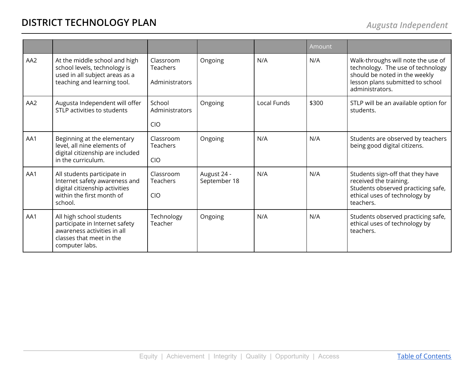|                 |                                                                                                                                         |                                                |                             |             | Amount |                                                                                                                                                                 |
|-----------------|-----------------------------------------------------------------------------------------------------------------------------------------|------------------------------------------------|-----------------------------|-------------|--------|-----------------------------------------------------------------------------------------------------------------------------------------------------------------|
| AA <sub>2</sub> | At the middle school and high<br>school levels, technology is<br>used in all subject areas as a<br>teaching and learning tool.          | Classroom<br><b>Teachers</b><br>Administrators | Ongoing                     | N/A         | N/A    | Walk-throughs will note the use of<br>technology. The use of technology<br>should be noted in the weekly<br>lesson plans submitted to school<br>administrators. |
| AA <sub>2</sub> | Augusta Independent will offer<br>STLP activities to students                                                                           | School<br>Administrators<br><b>CIO</b>         | Ongoing                     | Local Funds | \$300  | STLP will be an available option for<br>students.                                                                                                               |
| AA1             | Beginning at the elementary<br>level, all nine elements of<br>digital citizenship are included<br>in the curriculum.                    | Classroom<br><b>Teachers</b><br><b>CIO</b>     | Ongoing                     | N/A         | N/A    | Students are observed by teachers<br>being good digital citizens.                                                                                               |
| AA1             | All students participate in<br>Internet safety awareness and<br>digital citizenship activities<br>within the first month of<br>school.  | Classroom<br><b>Teachers</b><br><b>CIO</b>     | August 24 -<br>September 18 | N/A         | N/A    | Students sign-off that they have<br>received the training.<br>Students observed practicing safe,<br>ethical uses of technology by<br>teachers.                  |
| AA1             | All high school students<br>participate in Internet safety<br>awareness activities in all<br>classes that meet in the<br>computer labs. | Technology<br>Teacher                          | Ongoing                     | N/A         | N/A    | Students observed practicing safe,<br>ethical uses of technology by<br>teachers.                                                                                |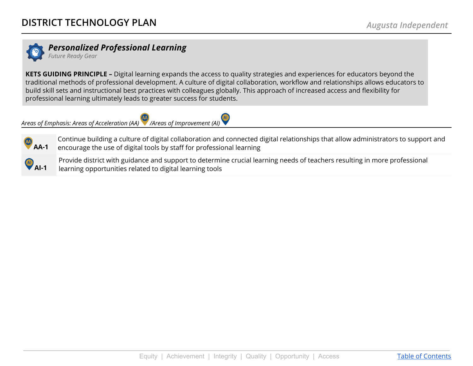

<span id="page-19-0"></span>*Personalized Professional Learning Future Ready Gear*

**KETS GUIDING PRINCIPLE –** Digital learning expands the access to quality strategies and experiences for educators beyond the traditional methods of professional development. A culture of digital collaboration, workflow and relationships allows educators to build skill sets and instructional best practices with colleagues globally. This approach of increased access and flexibility for professional learning ultimately leads to greater success for students.

*Areas of Emphasis: Areas of Acceleration (AA) /Areas of Improvement (AI)*



Continue building a culture of digital collaboration and connected digital relationships that allow administrators to support and encourage the use of digital tools by staff for professional learning



Provide district with guidance and support to determine crucial learning needs of teachers resulting in more professional learning opportunities related to digital learning tools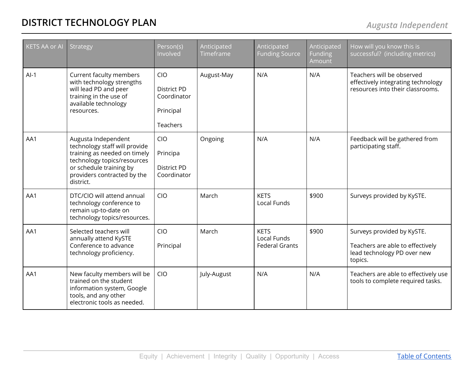| <b>KETS AA or AI</b> | Strategy                                                                                                                                                                                   | Person(s)<br>Involved                                                    | Anticipated<br>Timeframe | Anticipated<br><b>Funding Source</b>                       | Anticipated<br>Funding<br>Amount | How will you know this is<br>successful? (including metrics)                                             |
|----------------------|--------------------------------------------------------------------------------------------------------------------------------------------------------------------------------------------|--------------------------------------------------------------------------|--------------------------|------------------------------------------------------------|----------------------------------|----------------------------------------------------------------------------------------------------------|
| $AI-1$               | Current faculty members<br>with technology strengths<br>will lead PD and peer<br>training in the use of<br>available technology<br>resources.                                              | <b>CIO</b><br>District PD<br>Coordinator<br>Principal<br><b>Teachers</b> | August-May               | N/A                                                        | N/A                              | Teachers will be observed<br>effectively integrating technology<br>resources into their classrooms.      |
| AA1                  | Augusta Independent<br>technology staff will provide<br>training as needed on timely<br>technology topics/resources<br>or schedule training by<br>providers contracted by the<br>district. | <b>CIO</b><br>Principa<br>District PD<br>Coordinator                     | Ongoing                  | N/A                                                        | N/A                              | Feedback will be gathered from<br>participating staff.                                                   |
| AA1                  | DTC/CIO will attend annual<br>technology conference to<br>remain up-to-date on<br>technology topics/resources.                                                                             | <b>CIO</b>                                                               | March                    | <b>KETS</b><br>Local Funds                                 | \$900                            | Surveys provided by KySTE.                                                                               |
| AA1                  | Selected teachers will<br>annually attend KySTE<br>Conference to advance<br>technology proficiency.                                                                                        | <b>CIO</b><br>Principal                                                  | March                    | <b>KETS</b><br><b>Local Funds</b><br><b>Federal Grants</b> | \$900                            | Surveys provided by KySTE.<br>Teachers are able to effectively<br>lead technology PD over new<br>topics. |
| AA1                  | New faculty members will be<br>trained on the student<br>information system, Google<br>tools, and any other<br>electronic tools as needed.                                                 | <b>CIO</b>                                                               | July-August              | N/A                                                        | N/A                              | Teachers are able to effectively use<br>tools to complete required tasks.                                |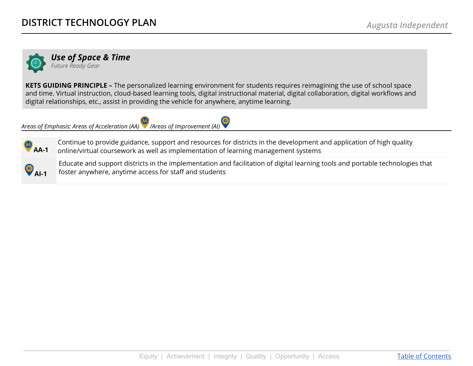

<span id="page-21-0"></span>*Use of Space & Time Future Ready Gear*

**KETS GUIDING PRINCIPLE –** The personalized learning environment for students requires reimagining the use of school space and time. Virtual instruction, cloud-based learning tools, digital instructional material, digital collaboration, digital workflows and digital relationships, etc., assist in providing the vehicle for anywhere, anytime learning.

*Areas of Emphasis: Areas of Acceleration (AA) /Areas of Improvement (AI)*



Continue to provide guidance, support and resources for districts in the development and application of high quality online/virtual coursework as well as implementation of learning management systems

**AI**-1 Educate and support districts in the implementation and facilitation of digital learning tools and portable technologies that foster anywhere, anytime access for staff and students